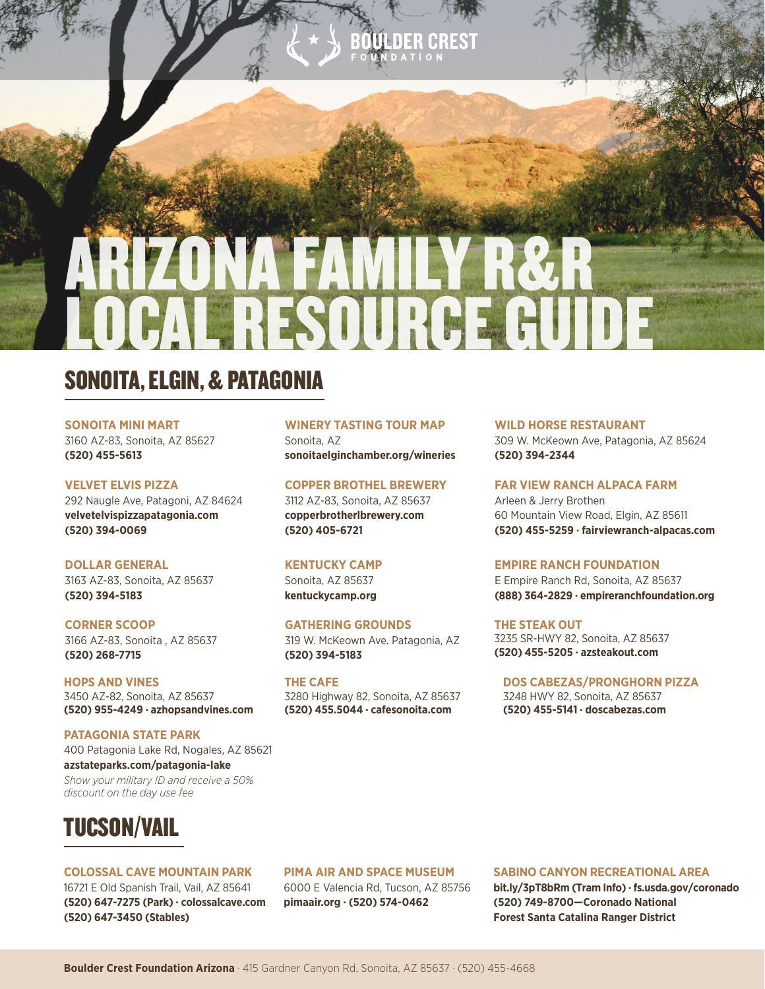# ARIZONA FAMILY R&R LOCAL RESOURCE GUIDE

## SONOITA, ELGIN, & PATAGONIA

**SONOITA MINI MART** 3160 AZ-83, Sonoita, AZ 85627 **(520) 455-5613**

**VELVET ELVIS PIZZA** 292 Naugle Ave, Patagoni, AZ 84624 **velvetelvispizzapatagonia.com (520) 394-0069**

#### **DOLLAR GENERAL**

3163 AZ-83, Sonoita, AZ 85637 **(520) 394-5183**

**CORNER SCOOP** 3166 AZ-83, Sonoita , AZ 85637 **(520) 268-7715**

**HOPS AND VINES** 3450 AZ-82, Sonoita, AZ 85637 **(520) 955-4249 · azhopsandvines.com**

**PATAGONIA STATE PARK** 400 Patagonia Lake Rd, Nogales, AZ 85621 **azstateparks.com/patagonia-lake** *Show your military ID and receive a 50% discount on the day use fee*



#### **COLOSSAL CAVE MOUNTAIN PARK**

16721 E Old Spanish Trail, Vail, AZ 85641 **(520) 647-7275 (Park) · colossalcave.com (520) 647-3450 (Stables)**

#### **WINERY TASTING TOUR MAP**

Sonoita, AZ **sonoitaelginchamber.org/wineries**

#### **COPPER BROTHEL BREWERY**

3112 AZ-83, Sonoita, AZ 85637 **copperbrotherlbrewery.com (520) 405-6721**

#### **KENTUCKY CAMP**

Sonoita, AZ 85637 **kentuckycamp.org**

#### **GATHERING GROUNDS**

319 W. McKeown Ave. Patagonia, AZ **(520) 394-5183**

**THE CAFE** 3280 Highway 82, Sonoita, AZ 85637 **(520) 455.5044 · cafesonoita.com**

#### **WILD HORSE RESTAURANT**

309 W. McKeown Ave, Patagonia, AZ 85624 **(520) 394-2344**

**FAR VIEW RANCH ALPACA FARM**

Arleen & Jerry Brothen 60 Mountain View Road, Elgin, AZ 85611 **(520) 455-5259 · fairviewranch-alpacas.com**

#### **EMPIRE RANCH FOUNDATION**

E Empire Ranch Rd, Sonoita, AZ 85637 **(888) 364-2829 · empireranchfoundation.org**

**THE STEAK OUT**  3235 SR-HWY 82, Sonoita, AZ 85637 **(520) 455-5205 · azsteakout.com**

**DOS CABEZAS/PRONGHORN PIZZA** 3248 HWY 82, Sonoita, AZ 85637 **(520) 455-5141 · doscabezas.com**

## **PIMA AIR AND SPACE MUSEUM**

6000 E Valencia Rd, Tucson, AZ 85756 **pimaair.org · (520) 574-0462**

#### **SABINO CANYON RECREATIONAL AREA**

**bit.ly/3pT8bRm (Tram Info) · fs.usda.gov/coronado (520) 749-8700—Coronado National Forest Santa Catalina Ranger District**

**Boulder Crest Foundation Arizona** · 415 Gardner Canyon Rd, Sonoita, AZ 85637 · (520) 455-4668